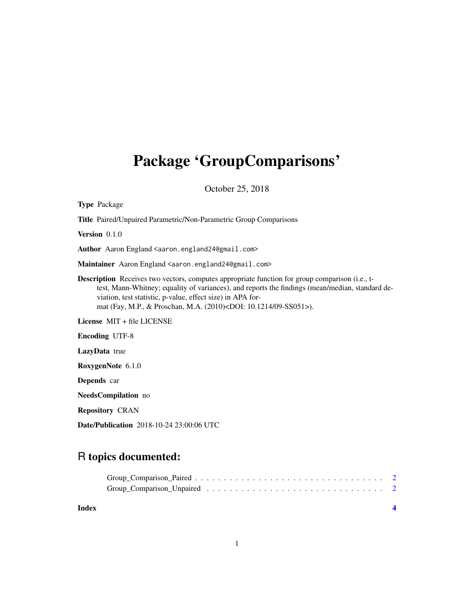## Package 'GroupComparisons'

October 25, 2018

| <b>Type Package</b>                                                                                                                                                                                                                                                                                                                                      |
|----------------------------------------------------------------------------------------------------------------------------------------------------------------------------------------------------------------------------------------------------------------------------------------------------------------------------------------------------------|
| Title Paired/Unpaired Parametric/Non-Parametric Group Comparisons                                                                                                                                                                                                                                                                                        |
| Version 0.1.0                                                                                                                                                                                                                                                                                                                                            |
| Author Aaron England <aaron.england24@gmail.com></aaron.england24@gmail.com>                                                                                                                                                                                                                                                                             |
| Maintainer Aaron England <aaron.england24@gmail.com></aaron.england24@gmail.com>                                                                                                                                                                                                                                                                         |
| <b>Description</b> Receives two vectors, computes appropriate function for group comparison (i.e., t-<br>test, Mann-Whitney; equality of variances), and reports the findings (mean/median, standard de-<br>viation, test statistic, p-value, effect size) in APA for-<br>mat (Fay, M.P., & Proschan, M.A. (2010) <doi: 09-ss051="" 10.1214="">).</doi:> |
| License MIT + file LICENSE                                                                                                                                                                                                                                                                                                                               |
| <b>Encoding UTF-8</b>                                                                                                                                                                                                                                                                                                                                    |
| <b>LazyData</b> true                                                                                                                                                                                                                                                                                                                                     |
| RoxygenNote 6.1.0                                                                                                                                                                                                                                                                                                                                        |
| <b>Depends</b> car                                                                                                                                                                                                                                                                                                                                       |
| NeedsCompilation no                                                                                                                                                                                                                                                                                                                                      |
| <b>Repository CRAN</b>                                                                                                                                                                                                                                                                                                                                   |
| <b>Date/Publication</b> 2018-10-24 23:00:06 UTC                                                                                                                                                                                                                                                                                                          |

## R topics documented:

**Index** [4](#page-3-0)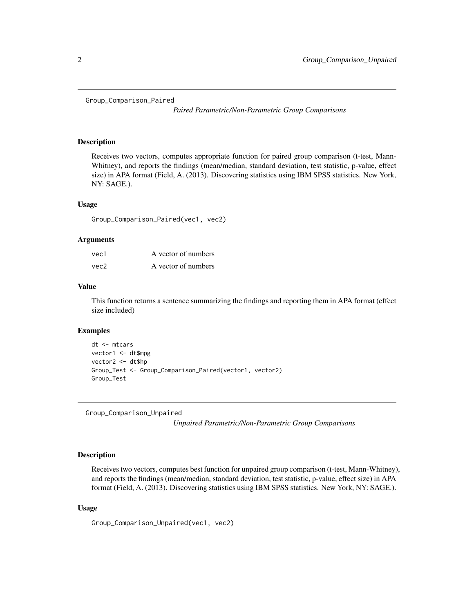<span id="page-1-0"></span>Group\_Comparison\_Paired

*Paired Parametric/Non-Parametric Group Comparisons*

#### Description

Receives two vectors, computes appropriate function for paired group comparison (t-test, Mann-Whitney), and reports the findings (mean/median, standard deviation, test statistic, p-value, effect size) in APA format (Field, A. (2013). Discovering statistics using IBM SPSS statistics. New York, NY: SAGE.).

#### Usage

Group\_Comparison\_Paired(vec1, vec2)

#### Arguments

| vec1 | A vector of numbers |
|------|---------------------|
| vec2 | A vector of numbers |

#### Value

This function returns a sentence summarizing the findings and reporting them in APA format (effect size included)

#### Examples

```
dt <- mtcars
vector1 <- dt$mpg
vector2 <- dt$hp
Group_Test <- Group_Comparison_Paired(vector1, vector2)
Group_Test
```
Group\_Comparison\_Unpaired

*Unpaired Parametric/Non-Parametric Group Comparisons*

#### Description

Receives two vectors, computes best function for unpaired group comparison (t-test, Mann-Whitney), and reports the findings (mean/median, standard deviation, test statistic, p-value, effect size) in APA format (Field, A. (2013). Discovering statistics using IBM SPSS statistics. New York, NY: SAGE.).

#### Usage

Group\_Comparison\_Unpaired(vec1, vec2)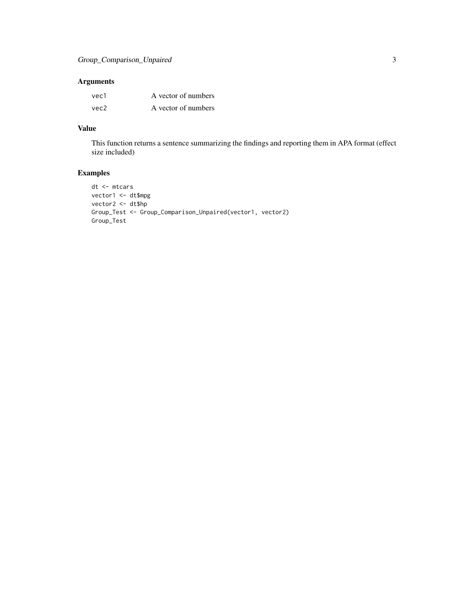### Arguments

| vec1 | A vector of numbers |
|------|---------------------|
| vec2 | A vector of numbers |

## Value

This function returns a sentence summarizing the findings and reporting them in APA format (effect size included)

## Examples

```
dt <- mtcars
vector1 <- dt$mpg
vector2 <- dt$hp
Group_Test <- Group_Comparison_Unpaired(vector1, vector2)
Group_Test
```